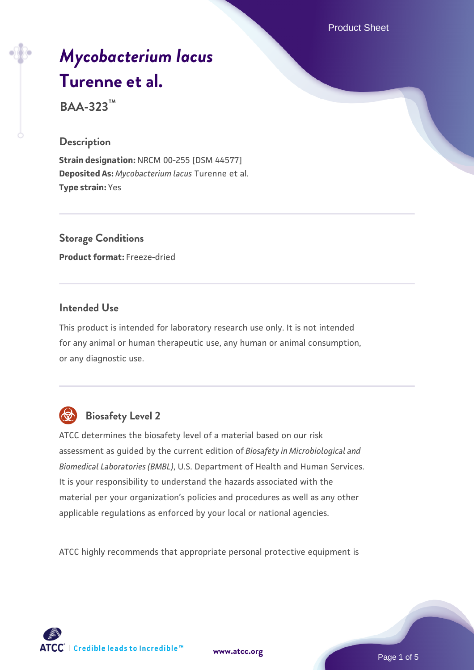Product Sheet

# *[Mycobacterium lacus](https://www.atcc.org/products/baa-323)* **[Turenne et al.](https://www.atcc.org/products/baa-323)**

**BAA-323™**

#### **Description**

**Strain designation:** NRCM 00-255 [DSM 44577] **Deposited As:** *Mycobacterium lacus* Turenne et al. **Type strain:** Yes

**Storage Conditions Product format:** Freeze-dried

### **Intended Use**

This product is intended for laboratory research use only. It is not intended for any animal or human therapeutic use, any human or animal consumption, or any diagnostic use.



# **Biosafety Level 2**

ATCC determines the biosafety level of a material based on our risk assessment as guided by the current edition of *Biosafety in Microbiological and Biomedical Laboratories (BMBL)*, U.S. Department of Health and Human Services. It is your responsibility to understand the hazards associated with the material per your organization's policies and procedures as well as any other applicable regulations as enforced by your local or national agencies.

ATCC highly recommends that appropriate personal protective equipment is

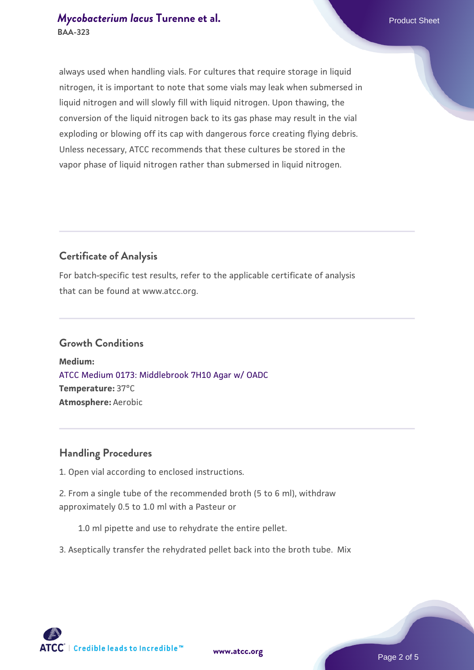# *[Mycobacterium lacus](https://www.atcc.org/products/baa-323)* [Turenne et al.](https://www.atcc.org/products/baa-323) Product Sheet **BAA-323**

always used when handling vials. For cultures that require storage in liquid nitrogen, it is important to note that some vials may leak when submersed in liquid nitrogen and will slowly fill with liquid nitrogen. Upon thawing, the conversion of the liquid nitrogen back to its gas phase may result in the vial exploding or blowing off its cap with dangerous force creating flying debris. Unless necessary, ATCC recommends that these cultures be stored in the vapor phase of liquid nitrogen rather than submersed in liquid nitrogen.

# **Certificate of Analysis**

For batch-specific test results, refer to the applicable certificate of analysis that can be found at www.atcc.org.

#### **Growth Conditions**

**Medium:**  [ATCC Medium 0173: Middlebrook 7H10 Agar w/ OADC](https://www.atcc.org/-/media/product-assets/documents/microbial-media-formulations/0/1/7/3/atcc-medium-0173.pdf?rev=2fcd87d0ebaf471d8aa6aba3758ef39f) **Temperature:** 37°C **Atmosphere:** Aerobic

#### **Handling Procedures**

1. Open vial according to enclosed instructions.

2. From a single tube of the recommended broth (5 to 6 ml), withdraw approximately 0.5 to 1.0 ml with a Pasteur or

1.0 ml pipette and use to rehydrate the entire pellet.

3. Aseptically transfer the rehydrated pellet back into the broth tube. Mix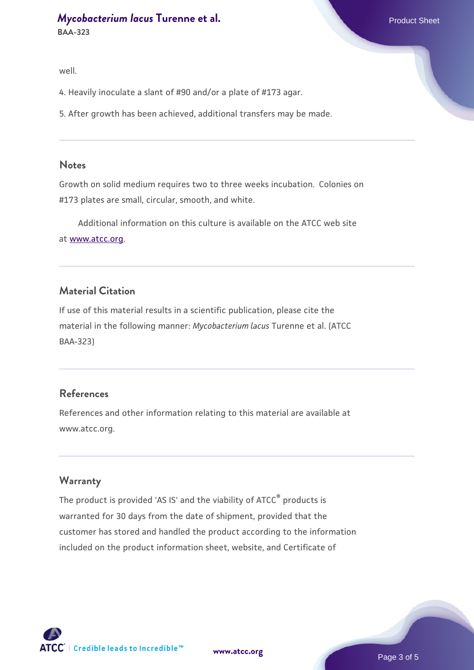well.

4. Heavily inoculate a slant of #90 and/or a plate of #173 agar.

5. After growth has been achieved, additional transfers may be made.

#### **Notes**

Growth on solid medium requires two to three weeks incubation. Colonies on #173 plates are small, circular, smooth, and white.

 Additional information on this culture is available on the ATCC web site at [www.atcc.org.](http://www.atcc.org/)

#### **Material Citation**

If use of this material results in a scientific publication, please cite the material in the following manner: *Mycobacterium lacus* Turenne et al. (ATCC BAA-323)

#### **References**

References and other information relating to this material are available at www.atcc.org.

#### **Warranty**

The product is provided 'AS IS' and the viability of ATCC® products is warranted for 30 days from the date of shipment, provided that the customer has stored and handled the product according to the information included on the product information sheet, website, and Certificate of



**[www.atcc.org](http://www.atcc.org)**

Page 3 of 5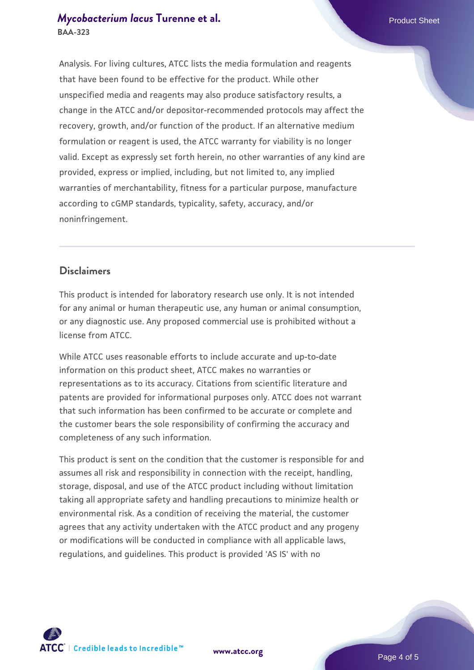# *[Mycobacterium lacus](https://www.atcc.org/products/baa-323)* [Turenne et al.](https://www.atcc.org/products/baa-323) **Product Sheet Allangeries Allangeries Allangeries Allangeries Product Sheet BAA-323**

Analysis. For living cultures, ATCC lists the media formulation and reagents that have been found to be effective for the product. While other unspecified media and reagents may also produce satisfactory results, a change in the ATCC and/or depositor-recommended protocols may affect the recovery, growth, and/or function of the product. If an alternative medium formulation or reagent is used, the ATCC warranty for viability is no longer valid. Except as expressly set forth herein, no other warranties of any kind are provided, express or implied, including, but not limited to, any implied warranties of merchantability, fitness for a particular purpose, manufacture according to cGMP standards, typicality, safety, accuracy, and/or noninfringement.

# **Disclaimers**

This product is intended for laboratory research use only. It is not intended for any animal or human therapeutic use, any human or animal consumption, or any diagnostic use. Any proposed commercial use is prohibited without a license from ATCC.

While ATCC uses reasonable efforts to include accurate and up-to-date information on this product sheet, ATCC makes no warranties or representations as to its accuracy. Citations from scientific literature and patents are provided for informational purposes only. ATCC does not warrant that such information has been confirmed to be accurate or complete and the customer bears the sole responsibility of confirming the accuracy and completeness of any such information.

This product is sent on the condition that the customer is responsible for and assumes all risk and responsibility in connection with the receipt, handling, storage, disposal, and use of the ATCC product including without limitation taking all appropriate safety and handling precautions to minimize health or environmental risk. As a condition of receiving the material, the customer agrees that any activity undertaken with the ATCC product and any progeny or modifications will be conducted in compliance with all applicable laws, regulations, and guidelines. This product is provided 'AS IS' with no